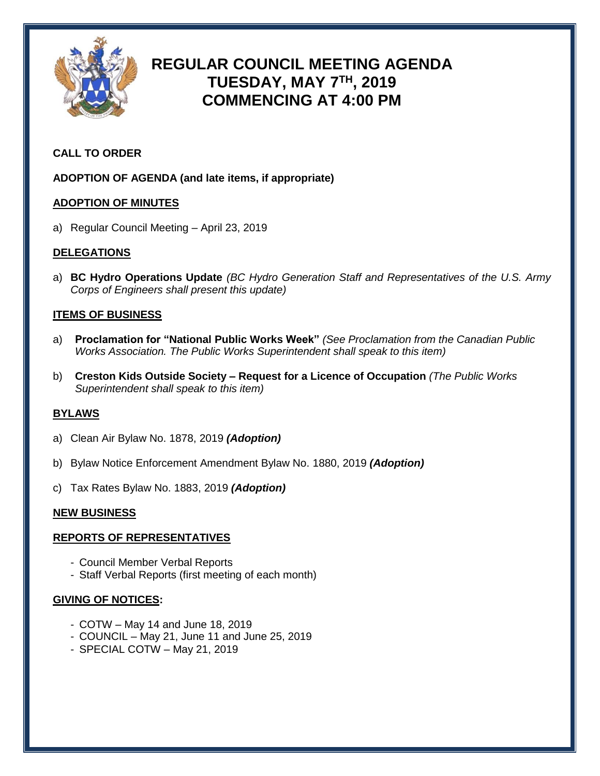

# **REGULAR COUNCIL MEETING AGENDA TUESDAY, MAY 7TH , 2019 COMMENCING AT 4:00 PM**

## **CALL TO ORDER**

**ADOPTION OF AGENDA (and late items, if appropriate)**

#### **ADOPTION OF MINUTES**

a) Regular Council Meeting – April 23, 2019

#### **DELEGATIONS**

a) **BC Hydro Operations Update** *(BC Hydro Generation Staff and Representatives of the U.S. Army Corps of Engineers shall present this update)*

## **ITEMS OF BUSINESS**

- a) **Proclamation for "National Public Works Week"** *(See Proclamation from the Canadian Public Works Association. The Public Works Superintendent shall speak to this item)*
- b) **Creston Kids Outside Society – Request for a Licence of Occupation** *(The Public Works Superintendent shall speak to this item)*

#### **BYLAWS**

- a) Clean Air Bylaw No. 1878, 2019 *(Adoption)*
- b) Bylaw Notice Enforcement Amendment Bylaw No. 1880, 2019 *(Adoption)*
- c) Tax Rates Bylaw No. 1883, 2019 *(Adoption)*

#### **NEW BUSINESS**

#### **REPORTS OF REPRESENTATIVES**

- Council Member Verbal Reports
- Staff Verbal Reports (first meeting of each month)

#### **GIVING OF NOTICES:**

- COTW May 14 and June 18, 2019
- COUNCIL May 21, June 11 and June 25, 2019
- SPECIAL COTW May 21, 2019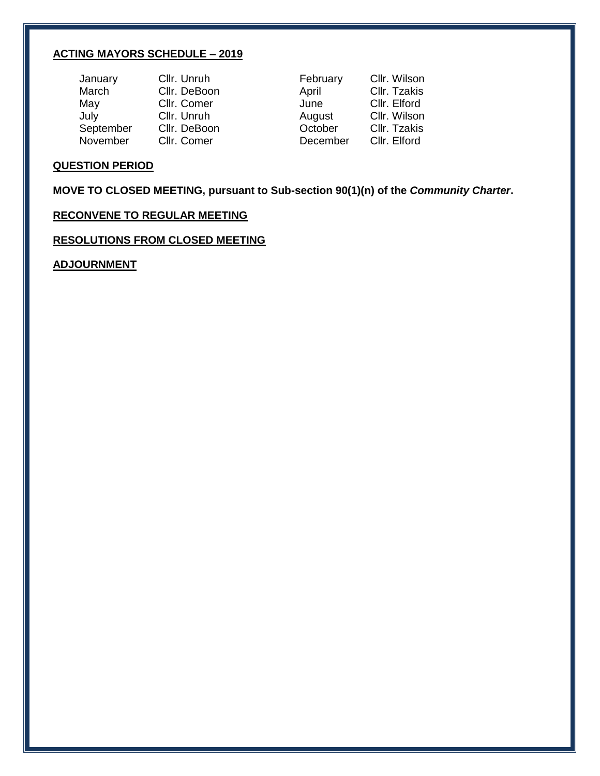## **ACTING MAYORS SCHEDULE – 2019**

| January   | Cllr. Unruh  | February | Cllr. Wilson |
|-----------|--------------|----------|--------------|
| March     | Cllr. DeBoon | April    | Cllr. Tzakis |
| May       | Cllr. Comer  | June     | Cllr. Elford |
| July      | Cllr. Unruh  | August   | Cllr. Wilson |
| September | Cllr. DeBoon | October  | Cllr. Tzakis |
| November  | Cllr. Comer  | December | Cllr. Elford |

## **QUESTION PERIOD**

**MOVE TO CLOSED MEETING, pursuant to Sub-section 90(1)(n) of the** *Community Charter***.**

## **RECONVENE TO REGULAR MEETING**

**RESOLUTIONS FROM CLOSED MEETING**

**ADJOURNMENT**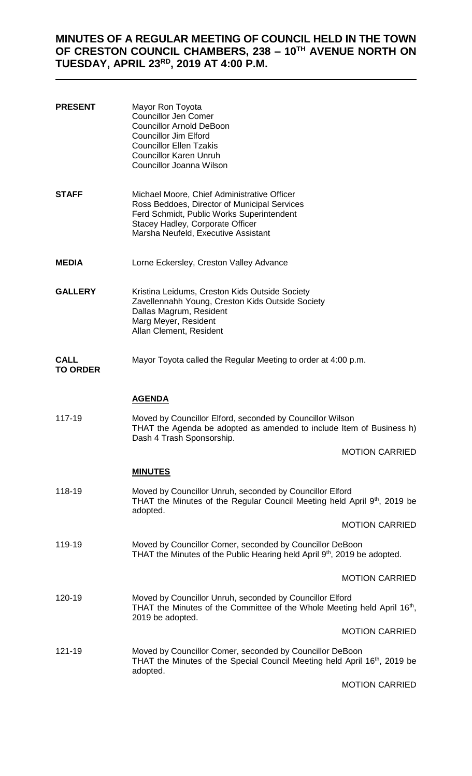## **MINUTES OF A REGULAR MEETING OF COUNCIL HELD IN THE TOWN OF CRESTON COUNCIL CHAMBERS, 238 – 10TH AVENUE NORTH ON TUESDAY, APRIL 23RD, 2019 AT 4:00 P.M.**

| <b>PRESENT</b>                 | Mayor Ron Toyota<br><b>Councillor Jen Comer</b><br><b>Councillor Arnold DeBoon</b><br><b>Councillor Jim Elford</b><br><b>Councillor Ellen Tzakis</b><br><b>Councillor Karen Unruh</b><br>Councillor Joanna Wilson   |                       |
|--------------------------------|---------------------------------------------------------------------------------------------------------------------------------------------------------------------------------------------------------------------|-----------------------|
| <b>STAFF</b>                   | Michael Moore, Chief Administrative Officer<br>Ross Beddoes, Director of Municipal Services<br>Ferd Schmidt, Public Works Superintendent<br>Stacey Hadley, Corporate Officer<br>Marsha Neufeld, Executive Assistant |                       |
| <b>MEDIA</b>                   | Lorne Eckersley, Creston Valley Advance                                                                                                                                                                             |                       |
| <b>GALLERY</b>                 | Kristina Leidums, Creston Kids Outside Society<br>Zavellennahh Young, Creston Kids Outside Society<br>Dallas Magrum, Resident<br>Marg Meyer, Resident<br>Allan Clement, Resident                                    |                       |
| <b>CALL</b><br><b>TO ORDER</b> | Mayor Toyota called the Regular Meeting to order at 4:00 p.m.                                                                                                                                                       |                       |
|                                | <u>AGENDA</u>                                                                                                                                                                                                       |                       |
| 117-19                         | Moved by Councillor Elford, seconded by Councillor Wilson<br>THAT the Agenda be adopted as amended to include Item of Business h)<br>Dash 4 Trash Sponsorship.                                                      |                       |
|                                |                                                                                                                                                                                                                     | <b>MOTION CARRIED</b> |
|                                | <b>MINUTES</b>                                                                                                                                                                                                      |                       |
| 118-19                         | Moved by Councillor Unruh, seconded by Councillor Elford<br>THAT the Minutes of the Regular Council Meeting held April 9th, 2019 be<br>adopted.                                                                     |                       |
|                                |                                                                                                                                                                                                                     | <b>MOTION CARRIED</b> |
| 119-19                         | Moved by Councillor Comer, seconded by Councillor DeBoon<br>THAT the Minutes of the Public Hearing held April 9th, 2019 be adopted.                                                                                 |                       |
|                                |                                                                                                                                                                                                                     | <b>MOTION CARRIED</b> |
| 120-19                         | Moved by Councillor Unruh, seconded by Councillor Elford<br>THAT the Minutes of the Committee of the Whole Meeting held April 16 <sup>th</sup> ,<br>2019 be adopted.                                                |                       |
|                                |                                                                                                                                                                                                                     | <b>MOTION CARRIED</b> |
| 121-19                         | Moved by Councillor Comer, seconded by Councillor DeBoon<br>THAT the Minutes of the Special Council Meeting held April 16 <sup>th</sup> , 2019 be<br>adopted.                                                       |                       |
|                                |                                                                                                                                                                                                                     | <b>MOTION CARRIED</b> |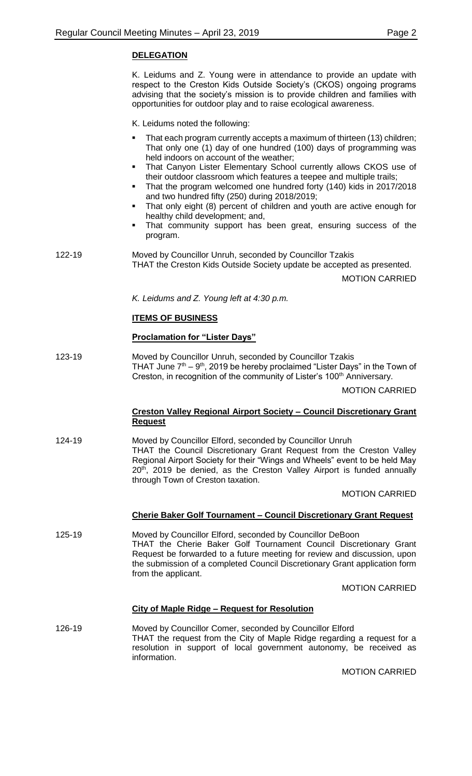## **DELEGATION**

K. Leidums and Z. Young were in attendance to provide an update with respect to the Creston Kids Outside Society's (CKOS) ongoing programs advising that the society's mission is to provide children and families with opportunities for outdoor play and to raise ecological awareness.

K. Leidums noted the following:

|        | That each program currently accepts a maximum of thirteen (13) children;<br>٠<br>That only one (1) day of one hundred (100) days of programming was<br>held indoors on account of the weather;<br>That Canyon Lister Elementary School currently allows CKOS use of<br>٠<br>their outdoor classroom which features a teepee and multiple trails;<br>That the program welcomed one hundred forty (140) kids in 2017/2018<br>٠<br>and two hundred fifty (250) during 2018/2019;<br>That only eight (8) percent of children and youth are active enough for<br>٠<br>healthy child development; and,<br>That community support has been great, ensuring success of the<br>٠<br>program. |
|--------|-------------------------------------------------------------------------------------------------------------------------------------------------------------------------------------------------------------------------------------------------------------------------------------------------------------------------------------------------------------------------------------------------------------------------------------------------------------------------------------------------------------------------------------------------------------------------------------------------------------------------------------------------------------------------------------|
| 122-19 | Moved by Councillor Unruh, seconded by Councillor Tzakis<br>THAT the Creston Kids Outside Society update be accepted as presented.<br><b>MOTION CARRIED</b>                                                                                                                                                                                                                                                                                                                                                                                                                                                                                                                         |
|        | K. Leidums and Z. Young left at 4:30 p.m.                                                                                                                                                                                                                                                                                                                                                                                                                                                                                                                                                                                                                                           |
|        | <b>ITEMS OF BUSINESS</b>                                                                                                                                                                                                                                                                                                                                                                                                                                                                                                                                                                                                                                                            |
|        | <b>Proclamation for "Lister Days"</b>                                                                                                                                                                                                                                                                                                                                                                                                                                                                                                                                                                                                                                               |
| 123-19 | Moved by Councillor Unruh, seconded by Councillor Tzakis<br>THAT June $7th - 9th$ , 2019 be hereby proclaimed "Lister Days" in the Town of<br>Creston, in recognition of the community of Lister's 100 <sup>th</sup> Anniversary.                                                                                                                                                                                                                                                                                                                                                                                                                                                   |
|        | <b>MOTION CARRIED</b>                                                                                                                                                                                                                                                                                                                                                                                                                                                                                                                                                                                                                                                               |
|        | Creston Valley Regional Airport Society - Council Discretionary Grant<br><b>Request</b>                                                                                                                                                                                                                                                                                                                                                                                                                                                                                                                                                                                             |
| 124-19 | Moved by Councillor Elford, seconded by Councillor Unruh<br>THAT the Council Discretionary Grant Request from the Creston Valley<br>Regional Airport Society for their "Wings and Wheels" event to be held May<br>$20th$ , 2019 be denied, as the Creston Valley Airport is funded annually<br>through Town of Creston taxation.                                                                                                                                                                                                                                                                                                                                                    |
|        | <b>MOTION CARRIED</b>                                                                                                                                                                                                                                                                                                                                                                                                                                                                                                                                                                                                                                                               |
|        | <b>Cherie Baker Golf Tournament - Council Discretionary Grant Request</b>                                                                                                                                                                                                                                                                                                                                                                                                                                                                                                                                                                                                           |
| 125-19 | Moved by Councillor Elford, seconded by Councillor DeBoon<br>THAT the Cherie Baker Golf Tournament Council Discretionary Grant<br>Request be forwarded to a future meeting for review and discussion, upon<br>the submission of a completed Council Discretionary Grant application form<br>from the applicant.                                                                                                                                                                                                                                                                                                                                                                     |
|        | <b>MOTION CARRIED</b>                                                                                                                                                                                                                                                                                                                                                                                                                                                                                                                                                                                                                                                               |
|        | <b>City of Maple Ridge - Request for Resolution</b>                                                                                                                                                                                                                                                                                                                                                                                                                                                                                                                                                                                                                                 |
| 126-19 | Moved by Councillor Comer, seconded by Councillor Elford<br>THAT the request from the City of Maple Ridge regarding a request for a<br>resolution in support of local government autonomy, be received as<br>information.                                                                                                                                                                                                                                                                                                                                                                                                                                                           |

MOTION CARRIED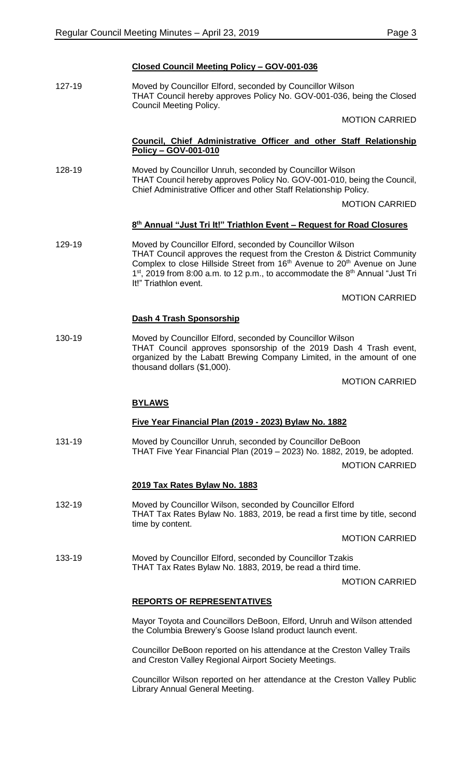## **Closed Council Meeting Policy – GOV-001-036**

127-19 Moved by Councillor Elford, seconded by Councillor Wilson THAT Council hereby approves Policy No. GOV-001-036, being the Closed Council Meeting Policy.

MOTION CARRIED

## **Council, Chief Administrative Officer and other Staff Relationship Policy – GOV-001-010**

128-19 Moved by Councillor Unruh, seconded by Councillor Wilson THAT Council hereby approves Policy No. GOV-001-010, being the Council, Chief Administrative Officer and other Staff Relationship Policy.

MOTION CARRIED

## **8 th Annual "Just Tri It!" Triathlon Event – Request for Road Closures**

129-19 Moved by Councillor Elford, seconded by Councillor Wilson THAT Council approves the request from the Creston & District Community Complex to close Hillside Street from 16<sup>th</sup> Avenue to 20<sup>th</sup> Avenue on June  $1<sup>st</sup>$ , 2019 from 8:00 a.m. to 12 p.m., to accommodate the  $8<sup>th</sup>$  Annual "Just Tri It!" Triathlon event.

MOTION CARRIED

## **Dash 4 Trash Sponsorship**

130-19 Moved by Councillor Elford, seconded by Councillor Wilson THAT Council approves sponsorship of the 2019 Dash 4 Trash event, organized by the Labatt Brewing Company Limited, in the amount of one thousand dollars (\$1,000).

MOTION CARRIED

#### **BYLAWS**

## **Five Year Financial Plan (2019 - 2023) Bylaw No. 1882**

131-19 Moved by Councillor Unruh, seconded by Councillor DeBoon THAT Five Year Financial Plan (2019 – 2023) No. 1882, 2019, be adopted. MOTION CARRIED

#### **2019 Tax Rates Bylaw No. 1883**

132-19 Moved by Councillor Wilson, seconded by Councillor Elford THAT Tax Rates Bylaw No. 1883, 2019, be read a first time by title, second time by content.

MOTION CARRIED

133-19 Moved by Councillor Elford, seconded by Councillor Tzakis THAT Tax Rates Bylaw No. 1883, 2019, be read a third time.

MOTION CARRIED

## **REPORTS OF REPRESENTATIVES**

Mayor Toyota and Councillors DeBoon, Elford, Unruh and Wilson attended the Columbia Brewery's Goose Island product launch event.

Councillor DeBoon reported on his attendance at the Creston Valley Trails and Creston Valley Regional Airport Society Meetings.

Councillor Wilson reported on her attendance at the Creston Valley Public Library Annual General Meeting.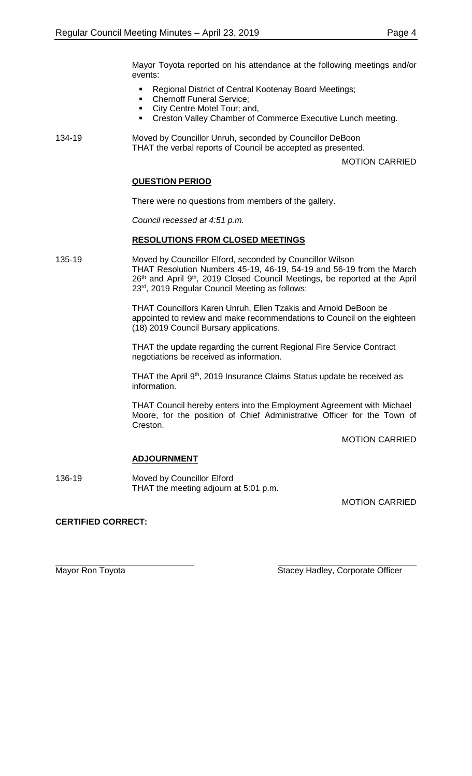Mayor Toyota reported on his attendance at the following meetings and/or events:

- Regional District of Central Kootenay Board Meetings;
- Chernoff Funeral Service;
- City Centre Motel Tour; and,
- **Creston Valley Chamber of Commerce Executive Lunch meeting.**

134-19 Moved by Councillor Unruh, seconded by Councillor DeBoon THAT the verbal reports of Council be accepted as presented.

MOTION CARRIED

## **QUESTION PERIOD**

There were no questions from members of the gallery.

*Council recessed at 4:51 p.m.*

## **RESOLUTIONS FROM CLOSED MEETINGS**

135-19 Moved by Councillor Elford, seconded by Councillor Wilson THAT Resolution Numbers 45-19, 46-19, 54-19 and 56-19 from the March 26<sup>th</sup> and April 9<sup>th</sup>, 2019 Closed Council Meetings, be reported at the April 23rd, 2019 Regular Council Meeting as follows:

> THAT Councillors Karen Unruh, Ellen Tzakis and Arnold DeBoon be appointed to review and make recommendations to Council on the eighteen (18) 2019 Council Bursary applications.

THAT the update regarding the current Regional Fire Service Contract negotiations be received as information.

THAT the April 9<sup>th</sup>, 2019 Insurance Claims Status update be received as information.

THAT Council hereby enters into the Employment Agreement with Michael Moore, for the position of Chief Administrative Officer for the Town of Creston.

MOTION CARRIED

## **ADJOURNMENT**

136-19 Moved by Councillor Elford THAT the meeting adjourn at 5:01 p.m.

MOTION CARRIED

## **CERTIFIED CORRECT:**

Mayor Ron Toyota **Stacey Hadley, Corporate Officer** Stacey Hadley, Corporate Officer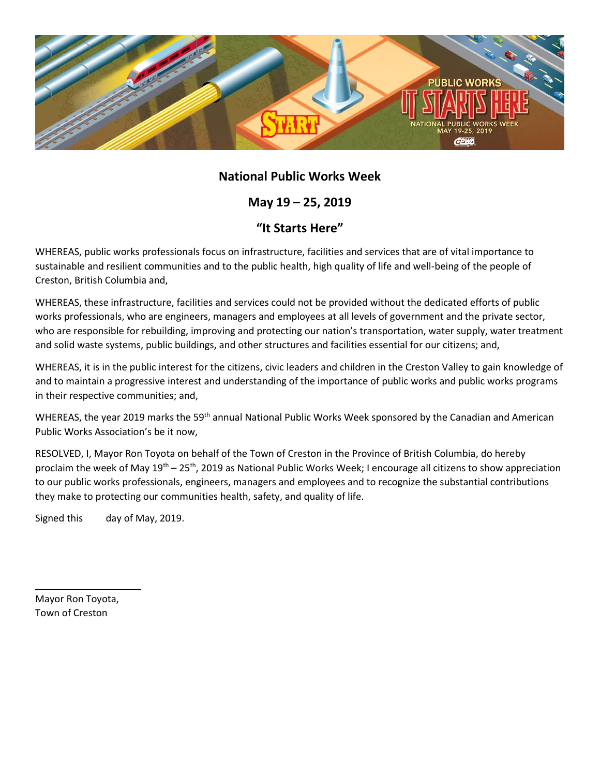

## **National Public Works Week**

**May 19 – 25, 2019**

## **"It Starts Here"**

WHEREAS, public works professionals focus on infrastructure, facilities and services that are of vital importance to sustainable and resilient communities and to the public health, high quality of life and well-being of the people of Creston, British Columbia and,

WHEREAS, these infrastructure, facilities and services could not be provided without the dedicated efforts of public works professionals, who are engineers, managers and employees at all levels of government and the private sector, who are responsible for rebuilding, improving and protecting our nation's transportation, water supply, water treatment and solid waste systems, public buildings, and other structures and facilities essential for our citizens; and,

WHEREAS, it is in the public interest for the citizens, civic leaders and children in the Creston Valley to gain knowledge of and to maintain a progressive interest and understanding of the importance of public works and public works programs in their respective communities; and,

WHEREAS, the year 2019 marks the 59<sup>th</sup> annual National Public Works Week sponsored by the Canadian and American Public Works Association's be it now,

RESOLVED, I, Mayor Ron Toyota on behalf of the Town of Creston in the Province of British Columbia, do hereby proclaim the week of May 19<sup>th</sup> – 25<sup>th</sup>, 2019 as National Public Works Week; I encourage all citizens to show appreciation to our public works professionals, engineers, managers and employees and to recognize the substantial contributions they make to protecting our communities health, safety, and quality of life.

Signed this day of May, 2019.

Mayor Ron Toyota, Town of Creston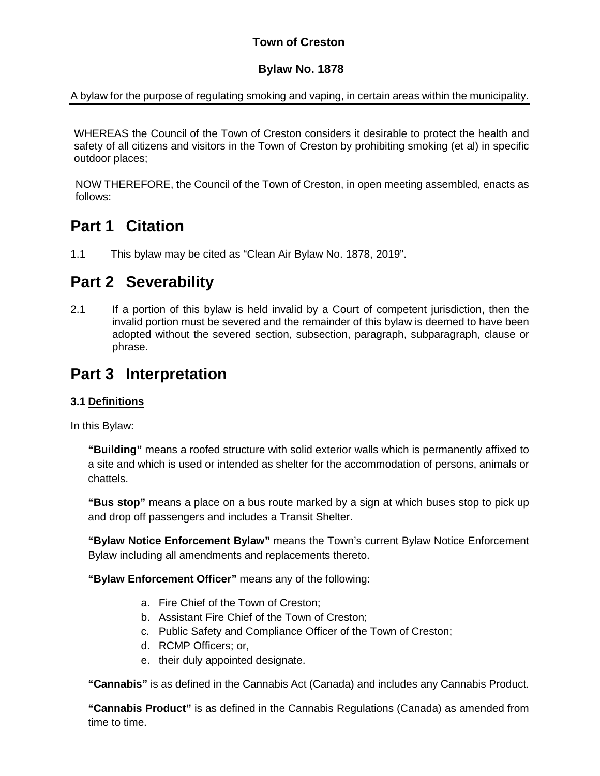## **Town of Creston**

## **Bylaw No. 1878**

A bylaw for the purpose of regulating smoking and vaping, in certain areas within the municipality.

WHEREAS the Council of the Town of Creston considers it desirable to protect the health and safety of all citizens and visitors in the Town of Creston by prohibiting smoking (et al) in specific outdoor places;

NOW THEREFORE, the Council of the Town of Creston, in open meeting assembled, enacts as follows:

# **Part 1 Citation**

1.1 This bylaw may be cited as "Clean Air Bylaw No. 1878, 2019".

# **Part 2 Severability**

2.1 If a portion of this bylaw is held invalid by a Court of competent jurisdiction, then the invalid portion must be severed and the remainder of this bylaw is deemed to have been adopted without the severed section, subsection, paragraph, subparagraph, clause or phrase.

# **Part 3 Interpretation**

## **3.1 Definitions**

In this Bylaw:

**"Building"** means a roofed structure with solid exterior walls which is permanently affixed to a site and which is used or intended as shelter for the accommodation of persons, animals or chattels.

**"Bus stop"** means a place on a bus route marked by a sign at which buses stop to pick up and drop off passengers and includes a Transit Shelter.

**"Bylaw Notice Enforcement Bylaw"** means the Town's current Bylaw Notice Enforcement Bylaw including all amendments and replacements thereto.

**"Bylaw Enforcement Officer"** means any of the following:

- a. Fire Chief of the Town of Creston;
- b. Assistant Fire Chief of the Town of Creston;
- c. Public Safety and Compliance Officer of the Town of Creston;
- d. RCMP Officers; or,
- e. their duly appointed designate.

**"Cannabis"** is as defined in the Cannabis Act (Canada) and includes any Cannabis Product.

**"Cannabis Product"** is as defined in the Cannabis Regulations (Canada) as amended from time to time.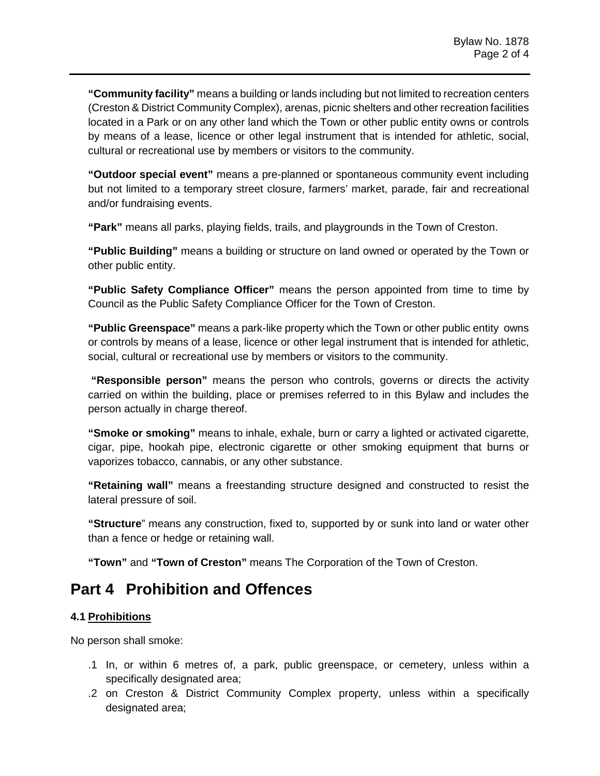**"Community facility"** means a building or lands including but not limited to recreation centers (Creston & District Community Complex), arenas, picnic shelters and other recreation facilities located in a Park or on any other land which the Town or other public entity owns or controls by means of a lease, licence or other legal instrument that is intended for athletic, social, cultural or recreational use by members or visitors to the community.

**"Outdoor special event"** means a pre-planned or spontaneous community event including but not limited to a temporary street closure, farmers' market, parade, fair and recreational and/or fundraising events.

**"Park"** means all parks, playing fields, trails, and playgrounds in the Town of Creston.

**"Public Building"** means a building or structure on land owned or operated by the Town or other public entity.

**"Public Safety Compliance Officer"** means the person appointed from time to time by Council as the Public Safety Compliance Officer for the Town of Creston.

**"Public Greenspace"** means a park-like property which the Town or other public entity owns or controls by means of a lease, licence or other legal instrument that is intended for athletic, social, cultural or recreational use by members or visitors to the community.

**"Responsible person"** means the person who controls, governs or directs the activity carried on within the building, place or premises referred to in this Bylaw and includes the person actually in charge thereof.

**"Smoke or smoking"** means to inhale, exhale, burn or carry a lighted or activated cigarette, cigar, pipe, hookah pipe, electronic cigarette or other smoking equipment that burns or vaporizes tobacco, cannabis, or any other substance.

**"Retaining wall"** means a freestanding structure designed and constructed to resist the lateral pressure of soil.

**"Structure**" means any construction, fixed to, supported by or sunk into land or water other than a fence or hedge or retaining wall.

**"Town"** and **"Town of Creston"** means The Corporation of the Town of Creston.

# **Part 4 Prohibition and Offences**

## **4.1 Prohibitions**

No person shall smoke:

- .1 In, or within 6 metres of, a park, public greenspace, or cemetery, unless within a specifically designated area;
- .2 on Creston & District Community Complex property, unless within a specifically designated area;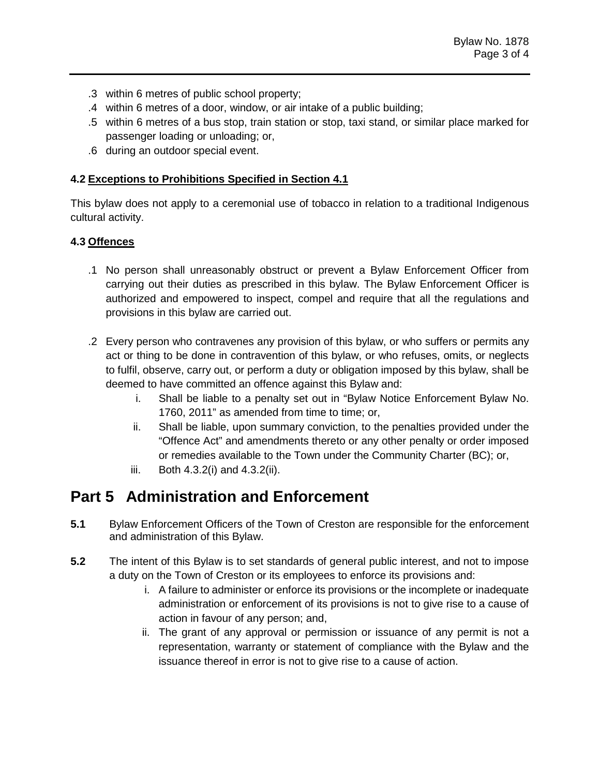- .3 within 6 metres of public school property;
- .4 within 6 metres of a door, window, or air intake of a public building;
- .5 within 6 metres of a bus stop, train station or stop, taxi stand, or similar place marked for passenger loading or unloading; or,
- .6 during an outdoor special event.

## **4.2 Exceptions to Prohibitions Specified in Section 4.1**

This bylaw does not apply to a ceremonial use of tobacco in relation to a traditional Indigenous cultural activity.

## **4.3 Offences**

- .1 No person shall unreasonably obstruct or prevent a Bylaw Enforcement Officer from carrying out their duties as prescribed in this bylaw. The Bylaw Enforcement Officer is authorized and empowered to inspect, compel and require that all the regulations and provisions in this bylaw are carried out.
- .2 Every person who contravenes any provision of this bylaw, or who suffers or permits any act or thing to be done in contravention of this bylaw, or who refuses, omits, or neglects to fulfil, observe, carry out, or perform a duty or obligation imposed by this bylaw, shall be deemed to have committed an offence against this Bylaw and:
	- i. Shall be liable to a penalty set out in "Bylaw Notice Enforcement Bylaw No. 1760, 2011" as amended from time to time; or,
	- ii. Shall be liable, upon summary conviction, to the penalties provided under the "Offence Act" and amendments thereto or any other penalty or order imposed or remedies available to the Town under the Community Charter (BC); or,
	- iii. Both 4.3.2(i) and 4.3.2(ii).

# **Part 5 Administration and Enforcement**

- **5.1** Bylaw Enforcement Officers of the Town of Creston are responsible for the enforcement and administration of this Bylaw.
- **5.2** The intent of this Bylaw is to set standards of general public interest, and not to impose a duty on the Town of Creston or its employees to enforce its provisions and:
	- i. A failure to administer or enforce its provisions or the incomplete or inadequate administration or enforcement of its provisions is not to give rise to a cause of action in favour of any person; and,
	- ii. The grant of any approval or permission or issuance of any permit is not a representation, warranty or statement of compliance with the Bylaw and the issuance thereof in error is not to give rise to a cause of action.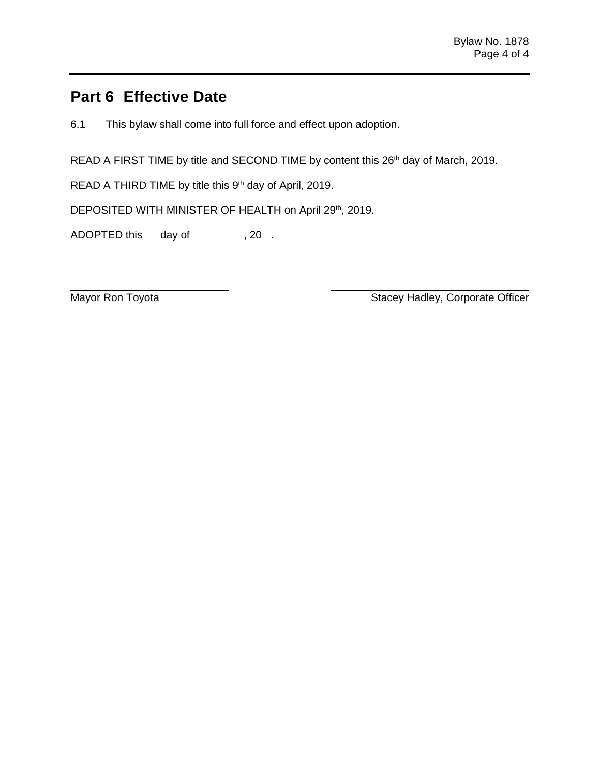# **Part 6 Effective Date**

6.1 This bylaw shall come into full force and effect upon adoption.

READ A FIRST TIME by title and SECOND TIME by content this 26<sup>th</sup> day of March, 2019.

READ A THIRD TIME by title this 9<sup>th</sup> day of April, 2019.

DEPOSITED WITH MINISTER OF HEALTH on April 29th, 2019.

ADOPTED this day of , 20.

\_\_\_\_\_\_\_\_\_\_\_\_\_\_\_\_\_\_\_\_\_\_\_\_\_\_\_\_\_\_\_\_\_ Mayor Ron Toyota **National Community Contract Community** Stacey Hadley, Corporate Officer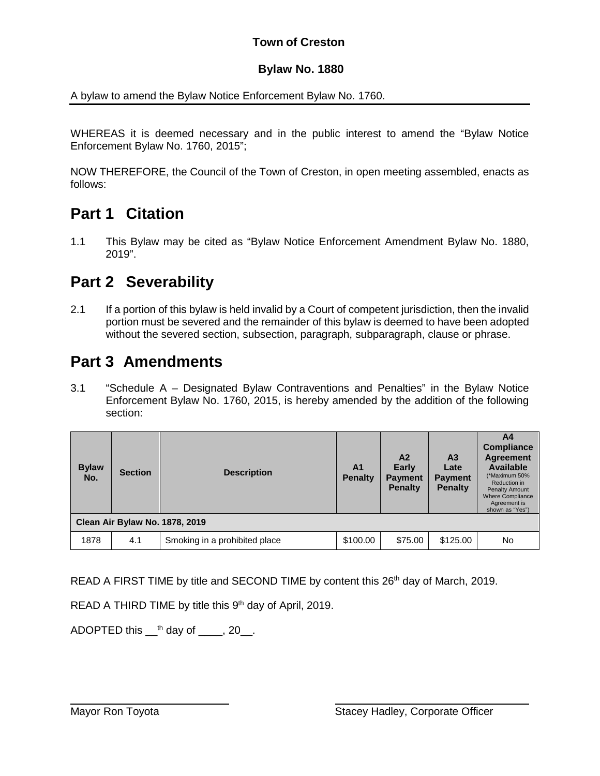## **Town of Creston**

## **Bylaw No. 1880**

A bylaw to amend the Bylaw Notice Enforcement Bylaw No. 1760.

WHEREAS it is deemed necessary and in the public interest to amend the "Bylaw Notice Enforcement Bylaw No. 1760, 2015";

NOW THEREFORE, the Council of the Town of Creston, in open meeting assembled, enacts as follows:

# **Part 1 Citation**

1.1 This Bylaw may be cited as "Bylaw Notice Enforcement Amendment Bylaw No. 1880, 2019".

# **Part 2 Severability**

2.1 If a portion of this bylaw is held invalid by a Court of competent jurisdiction, then the invalid portion must be severed and the remainder of this bylaw is deemed to have been adopted without the severed section, subsection, paragraph, subparagraph, clause or phrase.

# **Part 3 Amendments**

3.1 "Schedule A – Designated Bylaw Contraventions and Penalties" in the Bylaw Notice Enforcement Bylaw No. 1760, 2015, is hereby amended by the addition of the following section:

| <b>Bylaw</b><br>No.            | <b>Section</b> | <b>Description</b>            | A <sub>1</sub><br><b>Penalty</b> | A2<br><b>Early</b><br><b>Payment</b><br><b>Penalty</b> | A <sub>3</sub><br>Late<br><b>Payment</b><br><b>Penalty</b> | A4<br><b>Compliance</b><br><b>Agreement</b><br><b>Available</b><br>(*Maximum 50%<br>Reduction in<br><b>Penalty Amount</b><br><b>Where Compliance</b><br>Agreement is<br>shown as "Yes") |  |
|--------------------------------|----------------|-------------------------------|----------------------------------|--------------------------------------------------------|------------------------------------------------------------|-----------------------------------------------------------------------------------------------------------------------------------------------------------------------------------------|--|
| Clean Air Bylaw No. 1878, 2019 |                |                               |                                  |                                                        |                                                            |                                                                                                                                                                                         |  |
| 1878                           | 4.1            | Smoking in a prohibited place | \$100.00                         | \$75.00                                                | \$125.00                                                   | No.                                                                                                                                                                                     |  |

 $\overline{a}$ 

READ A FIRST TIME by title and SECOND TIME by content this 26<sup>th</sup> day of March, 2019.

READ A THIRD TIME by title this  $9<sup>th</sup>$  day of April, 2019.

ADOPTED this  $\_\mathsf{th}$  day of  $\_\mathsf{th}$ , 20.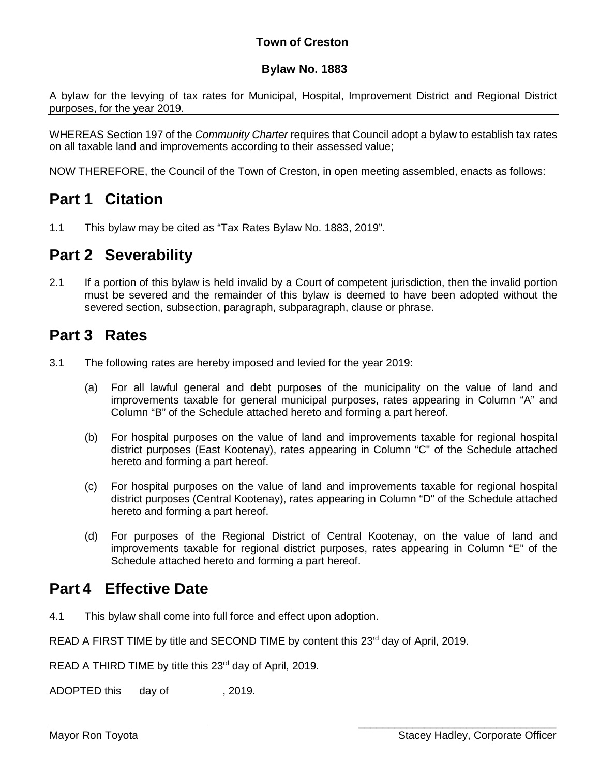## **Town of Creston**

## **Bylaw No. 1883**

A bylaw for the levying of tax rates for Municipal, Hospital, Improvement District and Regional District purposes, for the year 2019.

WHEREAS Section 197 of the *Community Charter* requires that Council adopt a bylaw to establish tax rates on all taxable land and improvements according to their assessed value;

NOW THEREFORE, the Council of the Town of Creston, in open meeting assembled, enacts as follows:

# **Part 1 Citation**

1.1 This bylaw may be cited as "Tax Rates Bylaw No. 1883, 2019".

# **Part 2 Severability**

2.1 If a portion of this bylaw is held invalid by a Court of competent jurisdiction, then the invalid portion must be severed and the remainder of this bylaw is deemed to have been adopted without the severed section, subsection, paragraph, subparagraph, clause or phrase.

# **Part 3 Rates**

- 3.1 The following rates are hereby imposed and levied for the year 2019:
	- (a) For all lawful general and debt purposes of the municipality on the value of land and improvements taxable for general municipal purposes, rates appearing in Column "A" and Column "B" of the Schedule attached hereto and forming a part hereof.
	- (b) For hospital purposes on the value of land and improvements taxable for regional hospital district purposes (East Kootenay), rates appearing in Column "C" of the Schedule attached hereto and forming a part hereof.
	- (c) For hospital purposes on the value of land and improvements taxable for regional hospital district purposes (Central Kootenay), rates appearing in Column "D" of the Schedule attached hereto and forming a part hereof.
	- (d) For purposes of the Regional District of Central Kootenay, on the value of land and improvements taxable for regional district purposes, rates appearing in Column "E" of the Schedule attached hereto and forming a part hereof.

# **Part 4 Effective Date**

4.1 This bylaw shall come into full force and effect upon adoption.

READ A FIRST TIME by title and SECOND TIME by content this 23<sup>rd</sup> day of April, 2019.

READ A THIRD TIME by title this 23<sup>rd</sup> day of April, 2019.

ADOPTED this day of . 2019.

\_\_\_\_\_\_\_\_\_\_\_\_\_\_\_\_\_\_\_\_\_\_\_\_\_\_\_\_\_\_\_\_\_